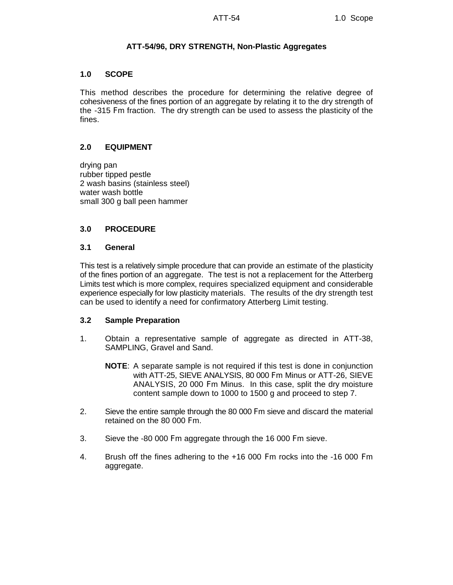## **ATT-54/96, DRY STRENGTH, Non-Plastic Aggregates**

### **1.0 SCOPE**

This method describes the procedure for determining the relative degree of cohesiveness of the fines portion of an aggregate by relating it to the dry strength of the -315 Fm fraction. The dry strength can be used to assess the plasticity of the fines.

## **2.0 EQUIPMENT**

drying pan rubber tipped pestle 2 wash basins (stainless steel) water wash bottle small 300 g ball peen hammer

## **3.0 PROCEDURE**

#### **3.1 General**

This test is a relatively simple procedure that can provide an estimate of the plasticity of the fines portion of an aggregate. The test is not a replacement for the Atterberg Limits test which is more complex, requires specialized equipment and considerable experience especially for low plasticity materials. The results of the dry strength test can be used to identify a need for confirmatory Atterberg Limit testing.

#### **3.2 Sample Preparation**

- 1. Obtain a representative sample of aggregate as directed in ATT-38, SAMPLING, Gravel and Sand.
	- **NOTE**: A separate sample is not required if this test is done in conjunction with ATT-25, SIEVE ANALYSIS, 80 000 Fm Minus or ATT-26, SIEVE ANALYSIS, 20 000 Fm Minus. In this case, split the dry moisture content sample down to 1000 to 1500 g and proceed to step 7.
- 2. Sieve the entire sample through the 80 000 Fm sieve and discard the material retained on the 80 000 Fm.
- 3. Sieve the -80 000 Fm aggregate through the 16 000 Fm sieve.
- 4. Brush off the fines adhering to the +16 000 Fm rocks into the -16 000 Fm aggregate.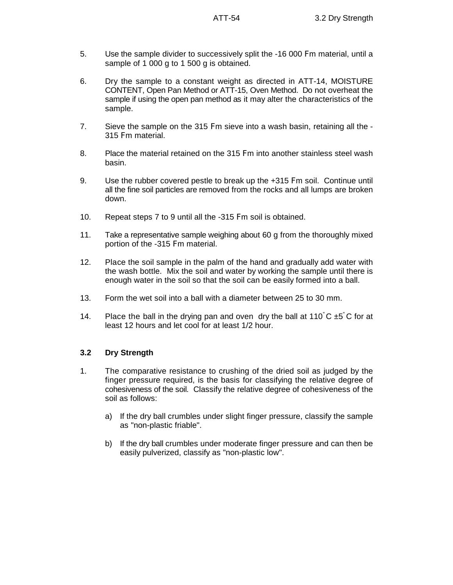- 5. Use the sample divider to successively split the -16 000 Fm material, until a sample of 1 000 g to 1 500 g is obtained.
- 6. Dry the sample to a constant weight as directed in ATT-14, MOISTURE CONTENT, Open Pan Method or ATT-15, Oven Method. Do not overheat the sample if using the open pan method as it may alter the characteristics of the sample.
- 7. Sieve the sample on the 315 Fm sieve into a wash basin, retaining all the 315 Fm material.
- 8. Place the material retained on the 315 Fm into another stainless steel wash basin.
- 9. Use the rubber covered pestle to break up the +315 Fm soil. Continue until all the fine soil particles are removed from the rocks and all lumps are broken down.
- 10. Repeat steps 7 to 9 until all the -315 Fm soil is obtained.
- 11. Take a representative sample weighing about 60 g from the thoroughly mixed portion of the -315 Fm material.
- 12. Place the soil sample in the palm of the hand and gradually add water with the wash bottle. Mix the soil and water by working the sample until there is enough water in the soil so that the soil can be easily formed into a ball.
- 13. Form the wet soil into a ball with a diameter between 25 to 30 mm.
- 14. Place the ball in the drying pan and oven dry the ball at 110  $\mathrm{C}$  ±5  $\mathrm{C}$  for at least 12 hours and let cool for at least 1/2 hour.

# **3.2 Dry Strength**

- 1. The comparative resistance to crushing of the dried soil as judged by the finger pressure required, is the basis for classifying the relative degree of cohesiveness of the soil. Classify the relative degree of cohesiveness of the soil as follows:
	- a) If the dry ball crumbles under slight finger pressure, classify the sample as "non-plastic friable".
	- b) If the dry ball crumbles under moderate finger pressure and can then be easily pulverized, classify as "non-plastic low".